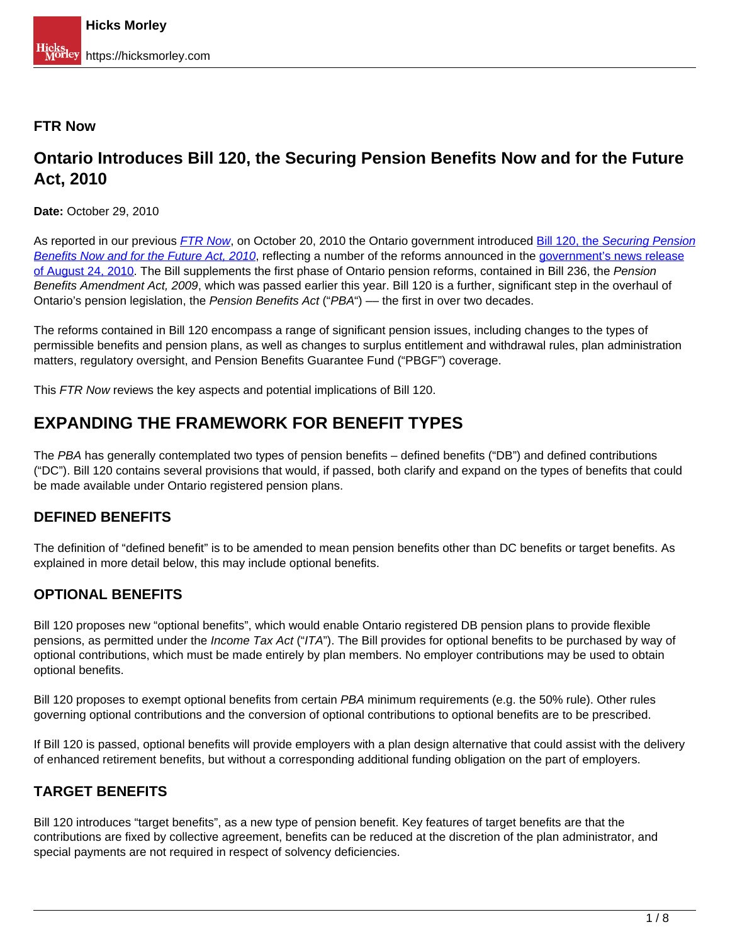#### **FTR Now**

## **Ontario Introduces Bill 120, the Securing Pension Benefits Now and for the Future Act, 2010**

**Date:** October 29, 2010

As reported in our previous [FTR Now](http://www.hicksmorley.com/index.php?name=News&file=article&sid=839&catid=6), on October 20, 2010 the Ontario government introduced Bill 120, the Securing Pension Benefits Now and for the Future Act, 2010, reflecting a number of the reforms announced in the government's news release of August 24, 2010. The Bill supplements the first phase of Ontario pension reforms, contained in Bill 236, the Pension Benefits Amendment Act, 2009, which was passed earlier this year. Bill 120 is a further, significant step in the overhaul of Ontario's pension legislation, the Pension Benefits Act ("PBA") — the first in over two decades.

The reforms contained in Bill 120 encompass a range of significant pension issues, including changes to the types of permissible benefits and pension plans, as well as changes to surplus entitlement and withdrawal rules, plan administration matters, regulatory oversight, and Pension Benefits Guarantee Fund ("PBGF") coverage.

This FTR Now reviews the key aspects and potential implications of Bill 120.

## **EXPANDING THE FRAMEWORK FOR BENEFIT TYPES**

The PBA has generally contemplated two types of pension benefits – defined benefits ("DB") and defined contributions ("DC"). Bill 120 contains several provisions that would, if passed, both clarify and expand on the types of benefits that could be made available under Ontario registered pension plans.

#### **DEFINED BENEFITS**

The definition of "defined benefit" is to be amended to mean pension benefits other than DC benefits or target benefits. As explained in more detail below, this may include optional benefits.

#### **OPTIONAL BENEFITS**

Bill 120 proposes new "optional benefits", which would enable Ontario registered DB pension plans to provide flexible pensions, as permitted under the *Income Tax Act* ("ITA"). The Bill provides for optional benefits to be purchased by way of optional contributions, which must be made entirely by plan members. No employer contributions may be used to obtain optional benefits.

Bill 120 proposes to exempt optional benefits from certain PBA minimum requirements (e.g. the 50% rule). Other rules governing optional contributions and the conversion of optional contributions to optional benefits are to be prescribed.

If Bill 120 is passed, optional benefits will provide employers with a plan design alternative that could assist with the delivery of enhanced retirement benefits, but without a corresponding additional funding obligation on the part of employers.

### **TARGET BENEFITS**

Bill 120 introduces "target benefits", as a new type of pension benefit. Key features of target benefits are that the contributions are fixed by collective agreement, benefits can be reduced at the discretion of the plan administrator, and special payments are not required in respect of solvency deficiencies.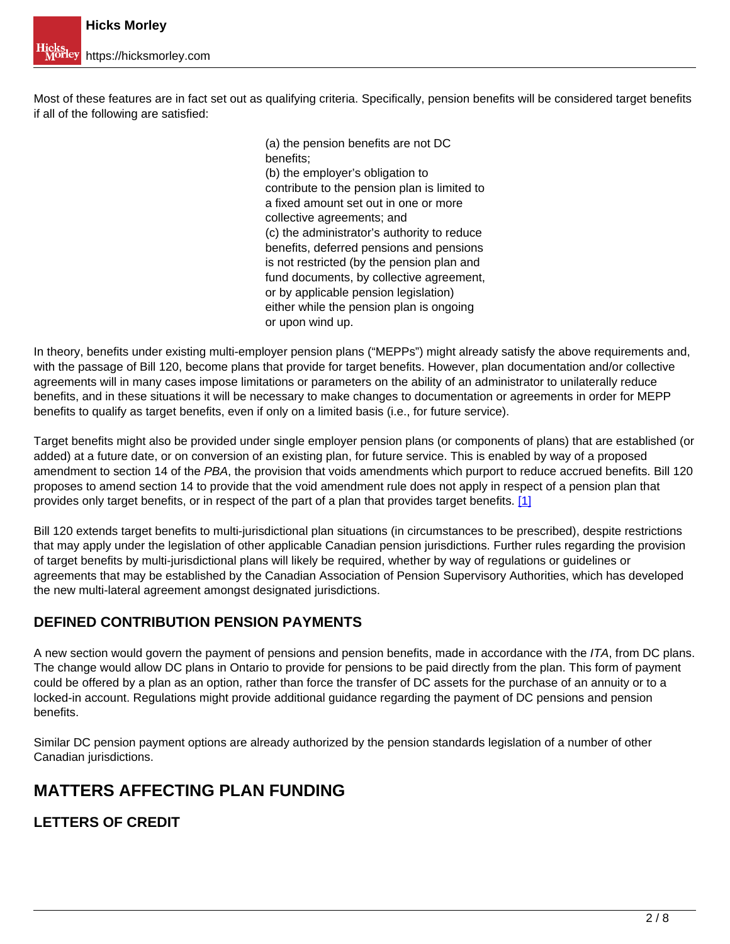Most of these features are in fact set out as qualifying criteria. Specifically, pension benefits will be considered target benefits if all of the following are satisfied:

> (a) the pension benefits are not DC benefits; (b) the employer's obligation to contribute to the pension plan is limited to a fixed amount set out in one or more collective agreements; and (c) the administrator's authority to reduce benefits, deferred pensions and pensions is not restricted (by the pension plan and fund documents, by collective agreement, or by applicable pension legislation) either while the pension plan is ongoing or upon wind up.

In theory, benefits under existing multi-employer pension plans ("MEPPs") might already satisfy the above requirements and, with the passage of Bill 120, become plans that provide for target benefits. However, plan documentation and/or collective agreements will in many cases impose limitations or parameters on the ability of an administrator to unilaterally reduce benefits, and in these situations it will be necessary to make changes to documentation or agreements in order for MEPP benefits to qualify as target benefits, even if only on a limited basis (i.e., for future service).

Target benefits might also be provided under single employer pension plans (or components of plans) that are established (or added) at a future date, or on conversion of an existing plan, for future service. This is enabled by way of a proposed amendment to section 14 of the PBA, the provision that voids amendments which purport to reduce accrued benefits. Bill 120 proposes to amend section 14 to provide that the void amendment rule does not apply in respect of a pension plan that provides only target benefits, or in respect of the part of a plan that provides target benefits. [1]

Bill 120 extends target benefits to multi-jurisdictional plan situations (in circumstances to be prescribed), despite restrictions that may apply under the legislation of other applicable Canadian pension jurisdictions. Further rules regarding the provision of target benefits by multi-jurisdictional plans will likely be required, whether by way of regulations or guidelines or agreements that may be established by the Canadian Association of Pension Supervisory Authorities, which has developed the new multi-lateral agreement amongst designated jurisdictions.

### **DEFINED CONTRIBUTION PENSION PAYMENTS**

A new section would govern the payment of pensions and pension benefits, made in accordance with the ITA, from DC plans. The change would allow DC plans in Ontario to provide for pensions to be paid directly from the plan. This form of payment could be offered by a plan as an option, rather than force the transfer of DC assets for the purchase of an annuity or to a locked-in account. Regulations might provide additional guidance regarding the payment of DC pensions and pension benefits.

Similar DC pension payment options are already authorized by the pension standards legislation of a number of other Canadian jurisdictions.

# **MATTERS AFFECTING PLAN FUNDING**

**LETTERS OF CREDIT**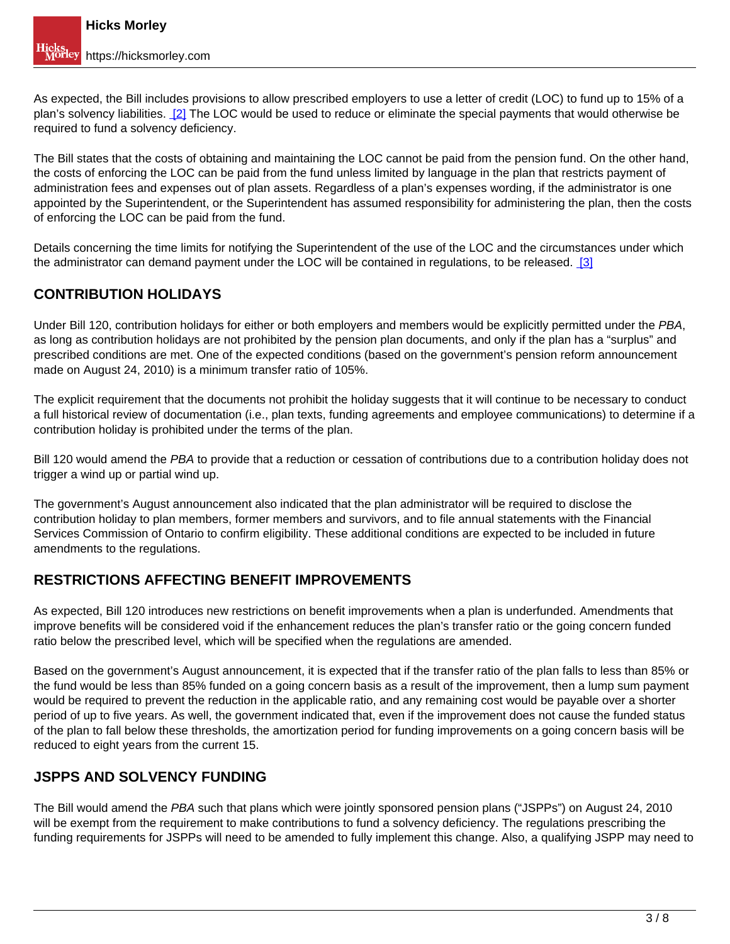As expected, the Bill includes provisions to allow prescribed employers to use a letter of credit (LOC) to fund up to 15% of a plan's solvency liabilities. [2] The LOC would be used to reduce or eliminate the special payments that would otherwise be required to fund a solvency deficiency.

The Bill states that the costs of obtaining and maintaining the LOC cannot be paid from the pension fund. On the other hand, the costs of enforcing the LOC can be paid from the fund unless limited by language in the plan that restricts payment of administration fees and expenses out of plan assets. Regardless of a plan's expenses wording, if the administrator is one appointed by the Superintendent, or the Superintendent has assumed responsibility for administering the plan, then the costs of enforcing the LOC can be paid from the fund.

Details concerning the time limits for notifying the Superintendent of the use of the LOC and the circumstances under which the administrator can demand payment under the LOC will be contained in regulations, to be released. [3]

### **CONTRIBUTION HOLIDAYS**

Under Bill 120, contribution holidays for either or both employers and members would be explicitly permitted under the PBA, as long as contribution holidays are not prohibited by the pension plan documents, and only if the plan has a "surplus" and prescribed conditions are met. One of the expected conditions (based on the government's pension reform announcement made on August 24, 2010) is a minimum transfer ratio of 105%.

The explicit requirement that the documents not prohibit the holiday suggests that it will continue to be necessary to conduct a full historical review of documentation (i.e., plan texts, funding agreements and employee communications) to determine if a contribution holiday is prohibited under the terms of the plan.

Bill 120 would amend the PBA to provide that a reduction or cessation of contributions due to a contribution holiday does not trigger a wind up or partial wind up.

The government's August announcement also indicated that the plan administrator will be required to disclose the contribution holiday to plan members, former members and survivors, and to file annual statements with the Financial Services Commission of Ontario to confirm eligibility. These additional conditions are expected to be included in future amendments to the regulations.

### **RESTRICTIONS AFFECTING BENEFIT IMPROVEMENTS**

As expected, Bill 120 introduces new restrictions on benefit improvements when a plan is underfunded. Amendments that improve benefits will be considered void if the enhancement reduces the plan's transfer ratio or the going concern funded ratio below the prescribed level, which will be specified when the regulations are amended.

Based on the government's August announcement, it is expected that if the transfer ratio of the plan falls to less than 85% or the fund would be less than 85% funded on a going concern basis as a result of the improvement, then a lump sum payment would be required to prevent the reduction in the applicable ratio, and any remaining cost would be payable over a shorter period of up to five years. As well, the government indicated that, even if the improvement does not cause the funded status of the plan to fall below these thresholds, the amortization period for funding improvements on a going concern basis will be reduced to eight years from the current 15.

#### **JSPPS AND SOLVENCY FUNDING**

The Bill would amend the PBA such that plans which were jointly sponsored pension plans ("JSPPs") on August 24, 2010 will be exempt from the requirement to make contributions to fund a solvency deficiency. The regulations prescribing the funding requirements for JSPPs will need to be amended to fully implement this change. Also, a qualifying JSPP may need to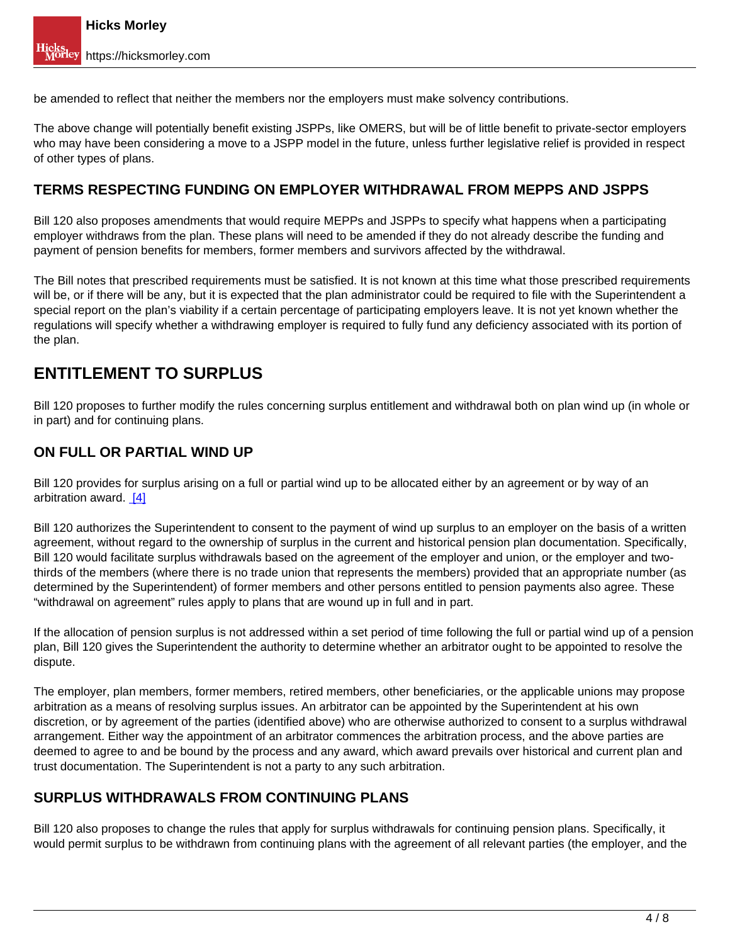be amended to reflect that neither the members nor the employers must make solvency contributions.

The above change will potentially benefit existing JSPPs, like OMERS, but will be of little benefit to private-sector employers who may have been considering a move to a JSPP model in the future, unless further legislative relief is provided in respect of other types of plans.

#### **TERMS RESPECTING FUNDING ON EMPLOYER WITHDRAWAL FROM MEPPS AND JSPPS**

Bill 120 also proposes amendments that would require MEPPs and JSPPs to specify what happens when a participating employer withdraws from the plan. These plans will need to be amended if they do not already describe the funding and payment of pension benefits for members, former members and survivors affected by the withdrawal.

The Bill notes that prescribed requirements must be satisfied. It is not known at this time what those prescribed requirements will be, or if there will be any, but it is expected that the plan administrator could be required to file with the Superintendent a special report on the plan's viability if a certain percentage of participating employers leave. It is not yet known whether the regulations will specify whether a withdrawing employer is required to fully fund any deficiency associated with its portion of the plan.

## **ENTITLEMENT TO SURPLUS**

Bill 120 proposes to further modify the rules concerning surplus entitlement and withdrawal both on plan wind up (in whole or in part) and for continuing plans.

#### **ON FULL OR PARTIAL WIND UP**

Bill 120 provides for surplus arising on a full or partial wind up to be allocated either by an agreement or by way of an arbitration award. [4]

Bill 120 authorizes the Superintendent to consent to the payment of wind up surplus to an employer on the basis of a written agreement, without regard to the ownership of surplus in the current and historical pension plan documentation. Specifically, Bill 120 would facilitate surplus withdrawals based on the agreement of the employer and union, or the employer and twothirds of the members (where there is no trade union that represents the members) provided that an appropriate number (as determined by the Superintendent) of former members and other persons entitled to pension payments also agree. These "withdrawal on agreement" rules apply to plans that are wound up in full and in part.

If the allocation of pension surplus is not addressed within a set period of time following the full or partial wind up of a pension plan, Bill 120 gives the Superintendent the authority to determine whether an arbitrator ought to be appointed to resolve the dispute.

The employer, plan members, former members, retired members, other beneficiaries, or the applicable unions may propose arbitration as a means of resolving surplus issues. An arbitrator can be appointed by the Superintendent at his own discretion, or by agreement of the parties (identified above) who are otherwise authorized to consent to a surplus withdrawal arrangement. Either way the appointment of an arbitrator commences the arbitration process, and the above parties are deemed to agree to and be bound by the process and any award, which award prevails over historical and current plan and trust documentation. The Superintendent is not a party to any such arbitration.

#### **SURPLUS WITHDRAWALS FROM CONTINUING PLANS**

Bill 120 also proposes to change the rules that apply for surplus withdrawals for continuing pension plans. Specifically, it would permit surplus to be withdrawn from continuing plans with the agreement of all relevant parties (the employer, and the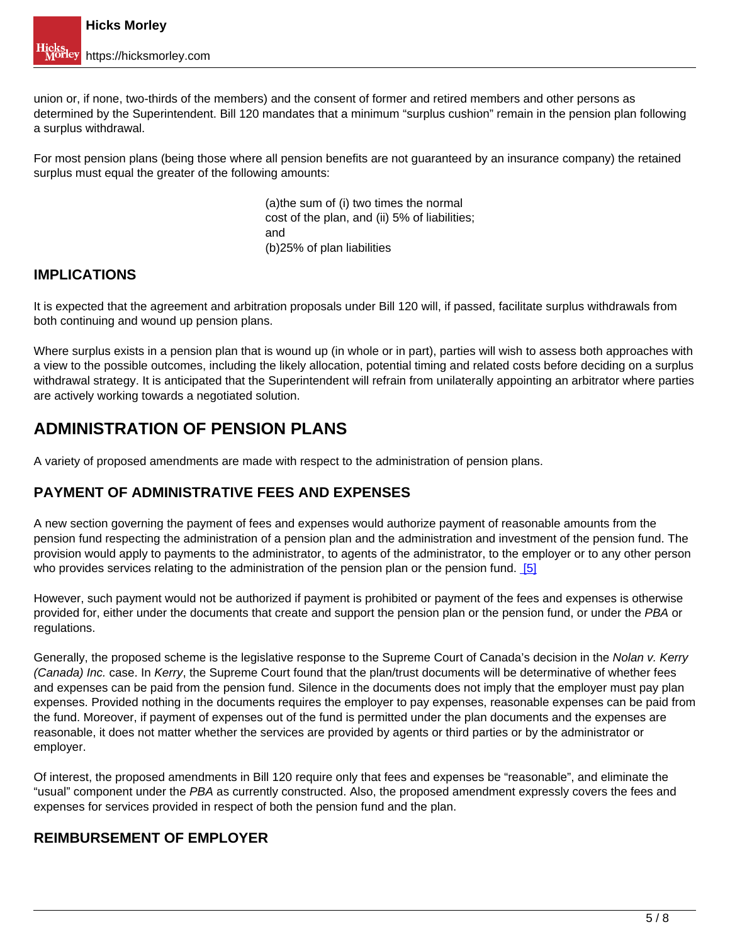union or, if none, two-thirds of the members) and the consent of former and retired members and other persons as determined by the Superintendent. Bill 120 mandates that a minimum "surplus cushion" remain in the pension plan following a surplus withdrawal.

For most pension plans (being those where all pension benefits are not guaranteed by an insurance company) the retained surplus must equal the greater of the following amounts:

> (a)the sum of (i) two times the normal cost of the plan, and (ii) 5% of liabilities; and (b)25% of plan liabilities

#### **IMPLICATIONS**

It is expected that the agreement and arbitration proposals under Bill 120 will, if passed, facilitate surplus withdrawals from both continuing and wound up pension plans.

Where surplus exists in a pension plan that is wound up (in whole or in part), parties will wish to assess both approaches with a view to the possible outcomes, including the likely allocation, potential timing and related costs before deciding on a surplus withdrawal strategy. It is anticipated that the Superintendent will refrain from unilaterally appointing an arbitrator where parties are actively working towards a negotiated solution.

## **ADMINISTRATION OF PENSION PLANS**

A variety of proposed amendments are made with respect to the administration of pension plans.

#### **PAYMENT OF ADMINISTRATIVE FEES AND EXPENSES**

A new section governing the payment of fees and expenses would authorize payment of reasonable amounts from the pension fund respecting the administration of a pension plan and the administration and investment of the pension fund. The provision would apply to payments to the administrator, to agents of the administrator, to the employer or to any other person who provides services relating to the administration of the pension plan or the pension fund. [5]

However, such payment would not be authorized if payment is prohibited or payment of the fees and expenses is otherwise provided for, either under the documents that create and support the pension plan or the pension fund, or under the PBA or regulations.

Generally, the proposed scheme is the legislative response to the Supreme Court of Canada's decision in the Nolan v. Kerry (Canada) Inc. case. In Kerry, the Supreme Court found that the plan/trust documents will be determinative of whether fees and expenses can be paid from the pension fund. Silence in the documents does not imply that the employer must pay plan expenses. Provided nothing in the documents requires the employer to pay expenses, reasonable expenses can be paid from the fund. Moreover, if payment of expenses out of the fund is permitted under the plan documents and the expenses are reasonable, it does not matter whether the services are provided by agents or third parties or by the administrator or employer.

Of interest, the proposed amendments in Bill 120 require only that fees and expenses be "reasonable", and eliminate the "usual" component under the PBA as currently constructed. Also, the proposed amendment expressly covers the fees and expenses for services provided in respect of both the pension fund and the plan.

#### **REIMBURSEMENT OF EMPLOYER**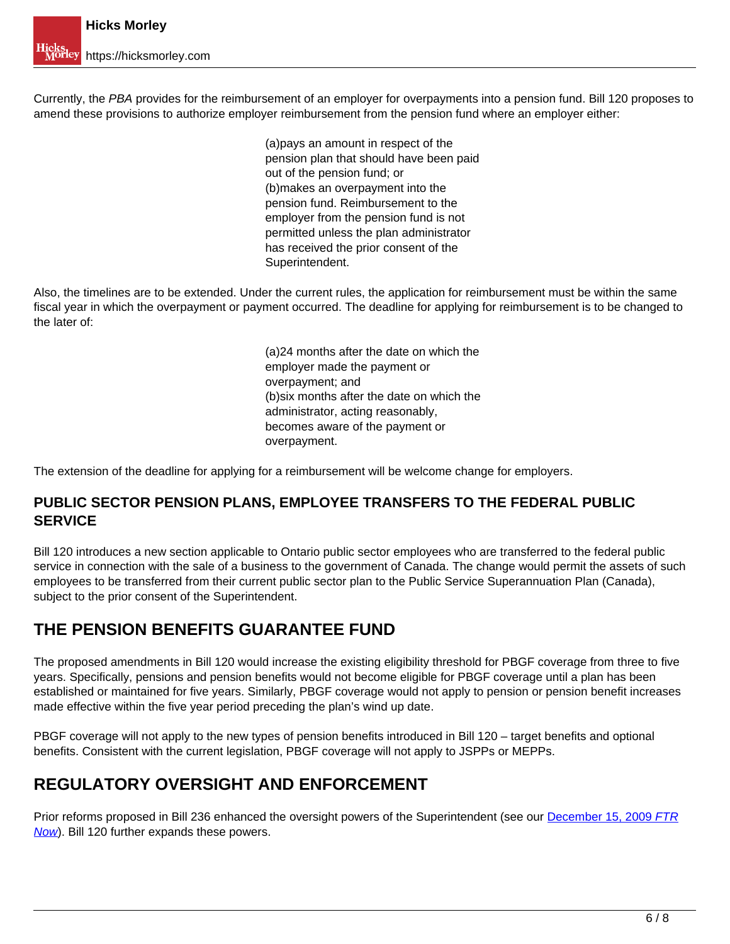Currently, the PBA provides for the reimbursement of an employer for overpayments into a pension fund. Bill 120 proposes to amend these provisions to authorize employer reimbursement from the pension fund where an employer either:

> (a)pays an amount in respect of the pension plan that should have been paid out of the pension fund; or (b)makes an overpayment into the pension fund. Reimbursement to the employer from the pension fund is not permitted unless the plan administrator has received the prior consent of the Superintendent.

Also, the timelines are to be extended. Under the current rules, the application for reimbursement must be within the same fiscal year in which the overpayment or payment occurred. The deadline for applying for reimbursement is to be changed to the later of:

> (a)24 months after the date on which the employer made the payment or overpayment; and (b)six months after the date on which the administrator, acting reasonably, becomes aware of the payment or overpayment.

The extension of the deadline for applying for a reimbursement will be welcome change for employers.

#### **PUBLIC SECTOR PENSION PLANS, EMPLOYEE TRANSFERS TO THE FEDERAL PUBLIC SERVICE**

Bill 120 introduces a new section applicable to Ontario public sector employees who are transferred to the federal public service in connection with the sale of a business to the government of Canada. The change would permit the assets of such employees to be transferred from their current public sector plan to the Public Service Superannuation Plan (Canada), subject to the prior consent of the Superintendent.

## **THE PENSION BENEFITS GUARANTEE FUND**

The proposed amendments in Bill 120 would increase the existing eligibility threshold for PBGF coverage from three to five years. Specifically, pensions and pension benefits would not become eligible for PBGF coverage until a plan has been established or maintained for five years. Similarly, PBGF coverage would not apply to pension or pension benefit increases made effective within the five year period preceding the plan's wind up date.

PBGF coverage will not apply to the new types of pension benefits introduced in Bill 120 – target benefits and optional benefits. Consistent with the current legislation, PBGF coverage will not apply to JSPPs or MEPPs.

# **REGULATORY OVERSIGHT AND ENFORCEMENT**

Prior reforms proposed in Bill 236 enhanced the oversight powers of the Superintendent (see our December 15, 2009 FTR Now). Bill 120 further expands these powers.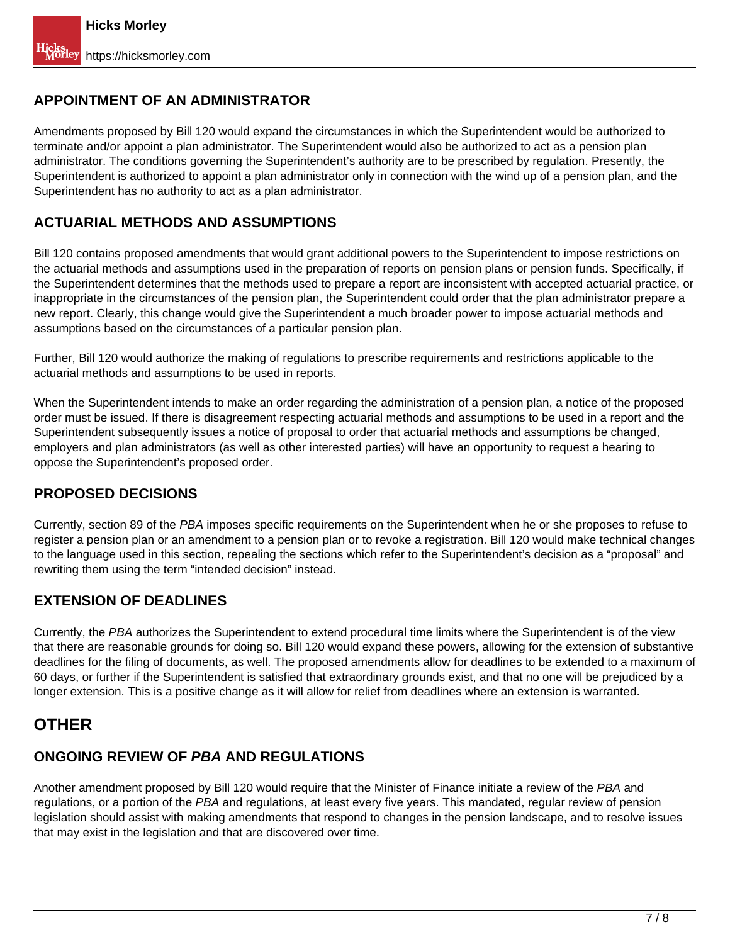### **APPOINTMENT OF AN ADMINISTRATOR**

Amendments proposed by Bill 120 would expand the circumstances in which the Superintendent would be authorized to terminate and/or appoint a plan administrator. The Superintendent would also be authorized to act as a pension plan administrator. The conditions governing the Superintendent's authority are to be prescribed by regulation. Presently, the Superintendent is authorized to appoint a plan administrator only in connection with the wind up of a pension plan, and the Superintendent has no authority to act as a plan administrator.

#### **ACTUARIAL METHODS AND ASSUMPTIONS**

Bill 120 contains proposed amendments that would grant additional powers to the Superintendent to impose restrictions on the actuarial methods and assumptions used in the preparation of reports on pension plans or pension funds. Specifically, if the Superintendent determines that the methods used to prepare a report are inconsistent with accepted actuarial practice, or inappropriate in the circumstances of the pension plan, the Superintendent could order that the plan administrator prepare a new report. Clearly, this change would give the Superintendent a much broader power to impose actuarial methods and assumptions based on the circumstances of a particular pension plan.

Further, Bill 120 would authorize the making of regulations to prescribe requirements and restrictions applicable to the actuarial methods and assumptions to be used in reports.

When the Superintendent intends to make an order regarding the administration of a pension plan, a notice of the proposed order must be issued. If there is disagreement respecting actuarial methods and assumptions to be used in a report and the Superintendent subsequently issues a notice of proposal to order that actuarial methods and assumptions be changed, employers and plan administrators (as well as other interested parties) will have an opportunity to request a hearing to oppose the Superintendent's proposed order.

#### **PROPOSED DECISIONS**

Currently, section 89 of the PBA imposes specific requirements on the Superintendent when he or she proposes to refuse to register a pension plan or an amendment to a pension plan or to revoke a registration. Bill 120 would make technical changes to the language used in this section, repealing the sections which refer to the Superintendent's decision as a "proposal" and rewriting them using the term "intended decision" instead.

#### **EXTENSION OF DEADLINES**

Currently, the PBA authorizes the Superintendent to extend procedural time limits where the Superintendent is of the view that there are reasonable grounds for doing so. Bill 120 would expand these powers, allowing for the extension of substantive deadlines for the filing of documents, as well. The proposed amendments allow for deadlines to be extended to a maximum of 60 days, or further if the Superintendent is satisfied that extraordinary grounds exist, and that no one will be prejudiced by a longer extension. This is a positive change as it will allow for relief from deadlines where an extension is warranted.

## **OTHER**

## **ONGOING REVIEW OF PBA AND REGULATIONS**

Another amendment proposed by Bill 120 would require that the Minister of Finance initiate a review of the PBA and regulations, or a portion of the PBA and regulations, at least every five years. This mandated, regular review of pension legislation should assist with making amendments that respond to changes in the pension landscape, and to resolve issues that may exist in the legislation and that are discovered over time.